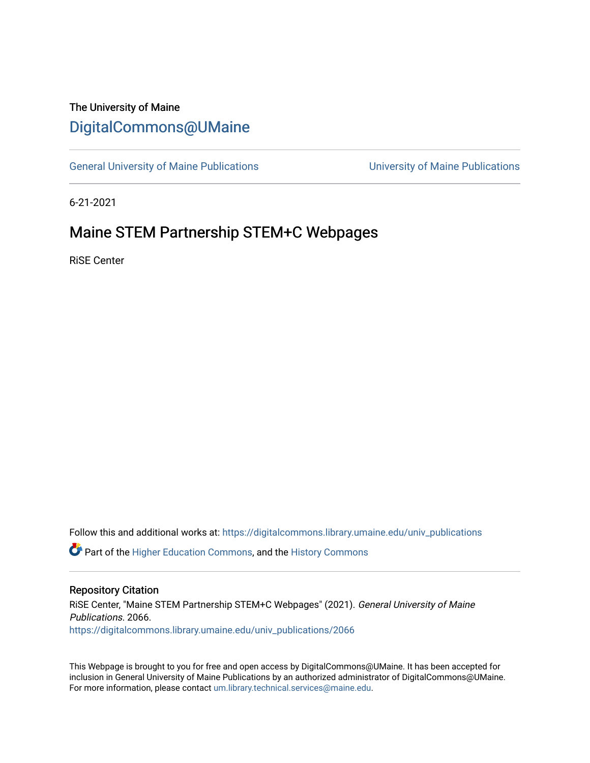# The University of Maine [DigitalCommons@UMaine](https://digitalcommons.library.umaine.edu/)

[General University of Maine Publications](https://digitalcommons.library.umaine.edu/univ_publications) [University of Maine Publications](https://digitalcommons.library.umaine.edu/umaine_publications) 

6-21-2021

# Maine STEM Partnership STEM+C Webpages

RiSE Center

Follow this and additional works at: [https://digitalcommons.library.umaine.edu/univ\\_publications](https://digitalcommons.library.umaine.edu/univ_publications?utm_source=digitalcommons.library.umaine.edu%2Funiv_publications%2F2066&utm_medium=PDF&utm_campaign=PDFCoverPages) 

**C** Part of the [Higher Education Commons,](http://network.bepress.com/hgg/discipline/1245?utm_source=digitalcommons.library.umaine.edu%2Funiv_publications%2F2066&utm_medium=PDF&utm_campaign=PDFCoverPages) and the [History Commons](http://network.bepress.com/hgg/discipline/489?utm_source=digitalcommons.library.umaine.edu%2Funiv_publications%2F2066&utm_medium=PDF&utm_campaign=PDFCoverPages)

## Repository Citation

RiSE Center, "Maine STEM Partnership STEM+C Webpages" (2021). General University of Maine Publications. 2066. [https://digitalcommons.library.umaine.edu/univ\\_publications/2066](https://digitalcommons.library.umaine.edu/univ_publications/2066?utm_source=digitalcommons.library.umaine.edu%2Funiv_publications%2F2066&utm_medium=PDF&utm_campaign=PDFCoverPages)

This Webpage is brought to you for free and open access by DigitalCommons@UMaine. It has been accepted for inclusion in General University of Maine Publications by an authorized administrator of DigitalCommons@UMaine. For more information, please contact [um.library.technical.services@maine.edu](mailto:um.library.technical.services@maine.edu).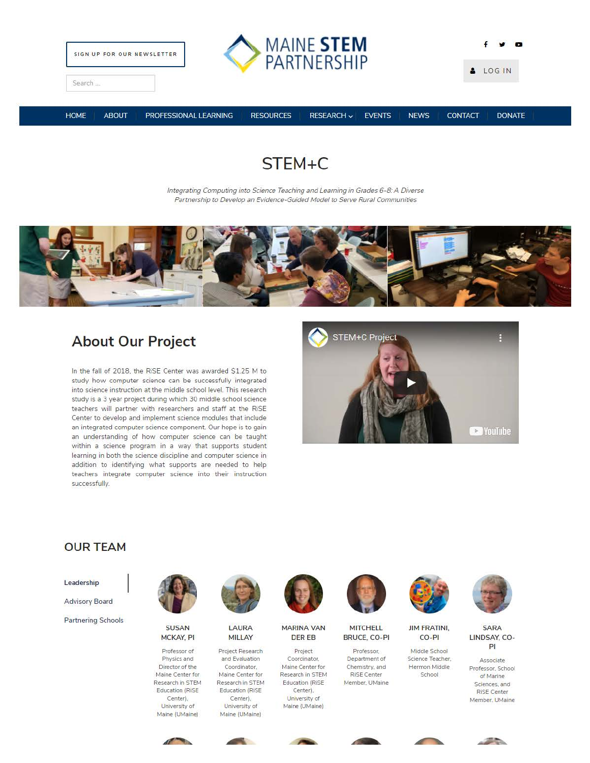



f '# **a**  LOG IN

Search ...

HOME ABOUT PROFESSIONAL LEARNING RESOURCES RESEARCH v EVENTS NEWS CONTACT DONATE

# **STEM+C**

Integrating Computing into Science Teaching and Leaming in Grades 6-8: A Diverse Partnership to Develop an Evidence-Guided Model to Serve Rural Communities



# **About Our Project**

In the fall of 2018, the RiSE Center was awarded \$1.25 M to study how computer science can be successfully integrated into science instruction at the middle school level. This research study is a 3 year project during which 30 middle school science teachers will partner with researchers and staff at the RiSE Center to develop and implement science modules that include an integrated computer science component. Our hope is to gain an understanding of how computer science can be taught within a science program in a way that supports student learning in both the science discipline and computer science in addition to identifying what supports are needed to help teachers integrate computer science into their instruction successfully.



# **OUR TEAM**

Leadership

Advisory Board

Partnering Schools



MCKAY, PI MILLAY

**Director of the Coordinator,** 



SUSAN LAURA

**Professor of Project Research Physics and and Evaluation Maine Center for Maine Center for Research in STEM Research in STEM Education (RiSE Education (RiSE**  Center). Center). **University of University of Maine (UMaine} Maine (UMaine}** 



MARINA VAN MITCHELL JIM FRATINI,

Maine Center for Chemistry, and Hermon Middle **Research in STEM** RISE Center School Education (RiSE **Member. UMaine**  Center). **University of**  Maine (UMaine)



DER EB BRUCE, CO-Pl CO-Pl







**SARA** LINDSAY, CO-Pl

**Associate Professor. School of Marine Sciences. and RiSE Center Member. UMaine** 









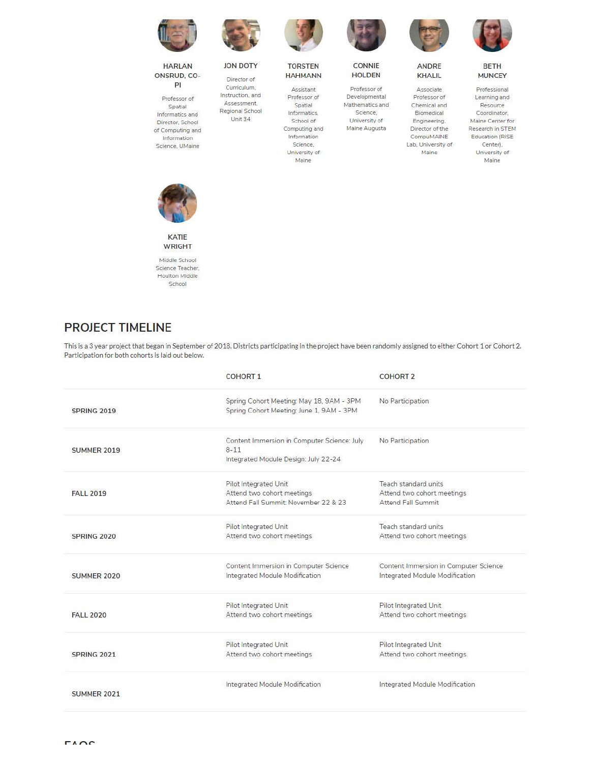



Pl **Professor of Spatial Informatics and** 





**Regional School informatics.**<br>Unit 34 **School of** 



**School of** Computing and **lnbrmation Science, University of Maine** 







CONNIE ANDRE BETH<br>HOLDEN KHALIL MUNCE

**Developmental Professor of Learning and**  Mathematics and Chemical and Resource<br>
Science, Biomedical Coordinator Science, Biomedical Coordinator,<br>
University of Engineering, Maine Center fr **Lab. University of** Center).

KHALIL MUNCEY

**Professor of Associate Professional University of Engineering. Maine Center for Mainter Compulse August 2 Research in STEM Compulse AUGUST 2 Research in STEM**  $\overline{E}$ Education (RiSE) **Maine University of Maine** 



KATIE WRIGHT

**M iddle School Science Teacher. Houlton Middle**  School

## **PROJECT TIMELINE**

This is a 3 year project that began in September of 2018. Districts part icipating in the project have been randomly assigned to either Cohort 1 or Cohort 2. Participation for both cohorts is laid out below.

|                    | <b>COHORT 1</b>                                                                                    | <b>COHORT 2</b>                                                                 |
|--------------------|----------------------------------------------------------------------------------------------------|---------------------------------------------------------------------------------|
| SPRING 2019        | Spring Cohort Meeting: May 18, 9AM - 3PM<br>Spring Cohort Meeting: June 1, 9AM - 3PM               | No Participation                                                                |
| <b>SUMMER 2019</b> | Content Immersion in Computer Science: July<br>$8 - 11$<br>Integrated Module Design: July 22-24    | No Participation                                                                |
| <b>FALL 2019</b>   | <b>Pilot Integrated Unit</b><br>Attend two cohort meetings<br>Attend Fall Summit: November 22 & 23 | Teach standard units<br>Attend two cohort meetings<br><b>Attend Fall Summit</b> |
| SPRING 2020        | Pilot Integrated Unit<br>Attend two cohort meetings                                                | Teach standard units<br>Attend two cohort meetings                              |
| <b>SUMMER 2020</b> | Content Immersion in Computer Science<br>Integrated Module Modification                            | Content Immersion in Computer Science<br>Integrated Module Modification         |
| <b>FALL 2020</b>   | Pilot Integrated Unit<br>Attend two cohort meetings                                                | Pilot Integrated Unit<br>Attend two cohort meetings                             |
| SPRING 2021        | Pilot Integrated Unit<br>Attend two cohort meetings                                                | Pilot Integrated Unit<br>Attend two cohort meetings                             |
| <b>SUMMER 2021</b> | Integrated Module Modification                                                                     | Integrated Module Modification                                                  |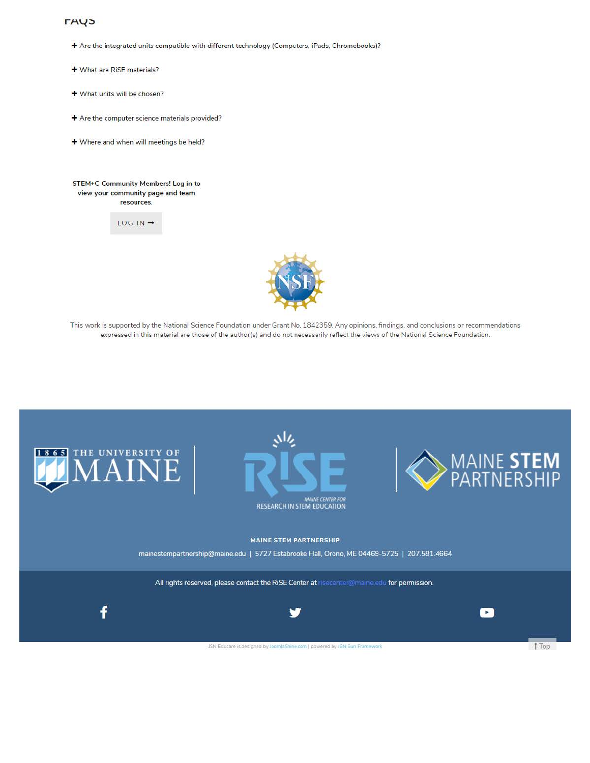### **THY<sub>2</sub>**

- + Are the integrated units compatible with different technology (Computers, iPads, Chromebooks)?
- + What are RiSE materials?
- + What units will be chosen?
- + Are the computer science materials provided?
- + Where and when will meetings be held?

#### STEM+C Community Members! Log in to view your community page and team **resources.**

 $LOG$  IN  $\rightarrow$ 



This work is supported by the National Science Foundation under Grant No. 1842359. Any opinions. findings. and conclusions or recommendations expressed in this material are those of the author(s) and do not necessarily reflect the views of the National Science Foundation.

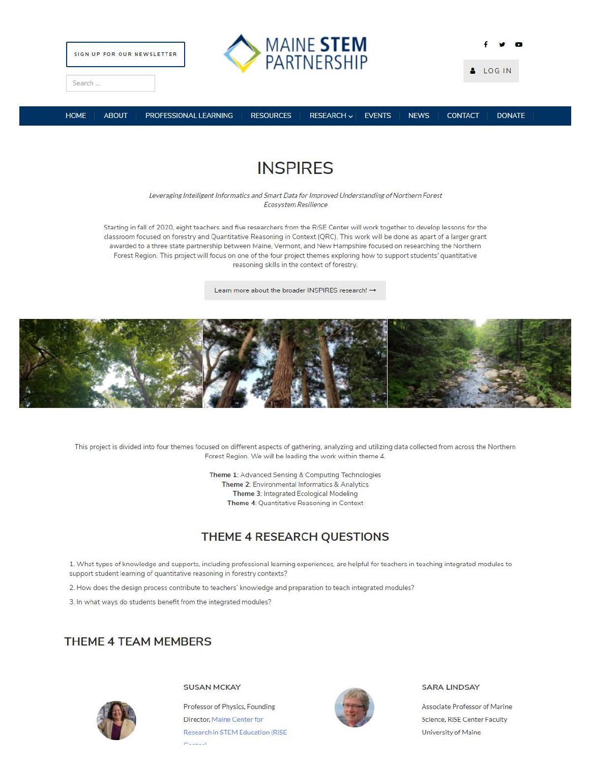

# **INSPIRES**

Leveraging Intelligent Informatics and Smart Data for Improved Understanding of Northern Forest Ecosystem Resilience

Starting in fall of 2020, eight teachers and five researchers from the RiSE Center will work together to develop lessons for the classroom focused on forestry and Quantitative Reasoning in Context (QRC). This work will be done as apart of a larger grant awarded to a three state partnership between Maine. Vermont, and New Hampshire focused on researching the Northern Forest Region. This project will focus on one of the four project themes exploring how to support students' quantitative reasoning skills in the context of forestry.

Learn more about the broader INSPIRES research! -



This project is divided into four themes focused on different aspects of gathering. analyzing and utilizing data collected from across the Northern Forest Region. We will be leading the work within theme 4.

> Theme 1: Advanced Sensing & Computing Technologies Theme 2: Environmental Informatics & Analytics Theme 3: Integrated Ecological Modeling Theme 4: Quantitative Reasoning in Context

# **THEME 4 RESEARCH QUESTIONS**

1. What types of knowledge and supports, including professional learning experiences, are helpful for teachers in teaching integrated modules to support student learning of quantitative reasoning in forestry contexts?

2. How does the design process contribute to teachers' knowledge and preparation to teach integrated modules?

3. In what ways do students benefit from the integrated modules?

## **THEME 4 TEAM MEMBERS**



SUSAN MCKAY

Professor of Physics, Founding Director, Maine Center for Research in STEM Education (RiSE  $C = 1$ 



### SARA LINDSAY

Associate Professor of Marine Science, RiSE Center Faculty University of Maine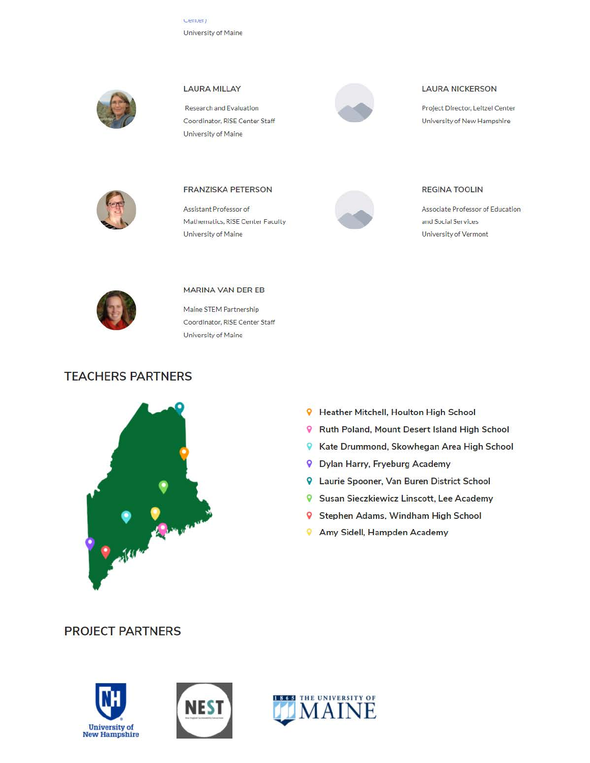Center) University of Maine



## **LAURA MILLAY**

University of Maine

Research and Evaluation

Coordinator, RISE Center Staff



### **LAURA NICKERSON**

Project Director, Leitzel Center University of New Hampshire



### **FRANZISKA PETERSON**

Assistant Professor of Mathematics, RISE Center Faculty University of Maine



### **REGINA TOOLIN**

Associate Professor of Education and Social Services University of Vermont



#### MARINA VAN DER EB

Maine STEM Partnership Coordinator, RISE Center Staff University of Maine

## **TEACHERS PARTNERS**



- **9** Heather Mitchell, Houlton High School Ruth Poland, Mount Desert Island High School
- R Kate Drummond, Skowhegan Area High School
- **9** Dylan Harry, Fryeburg Academy
- **9** Laurie Spooner, Van Buren District School
- **9** Susan Sieczkiewicz Linscott, Lee Academy
- 9 Stephen Adams, Windham High School
- **9** Amy Sidell, Hampden Academy

## **PROJECT PARTNERS**





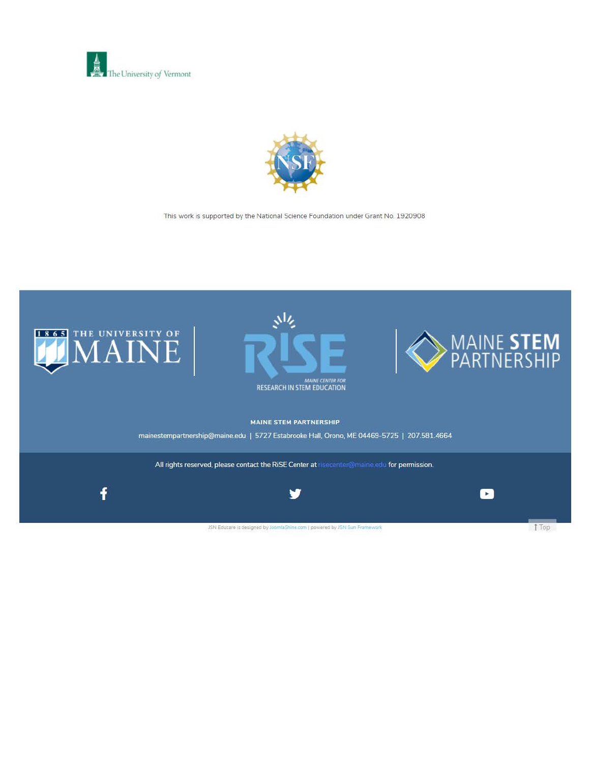



This work is supported by the National Science Foundation under Grant No. 1920908

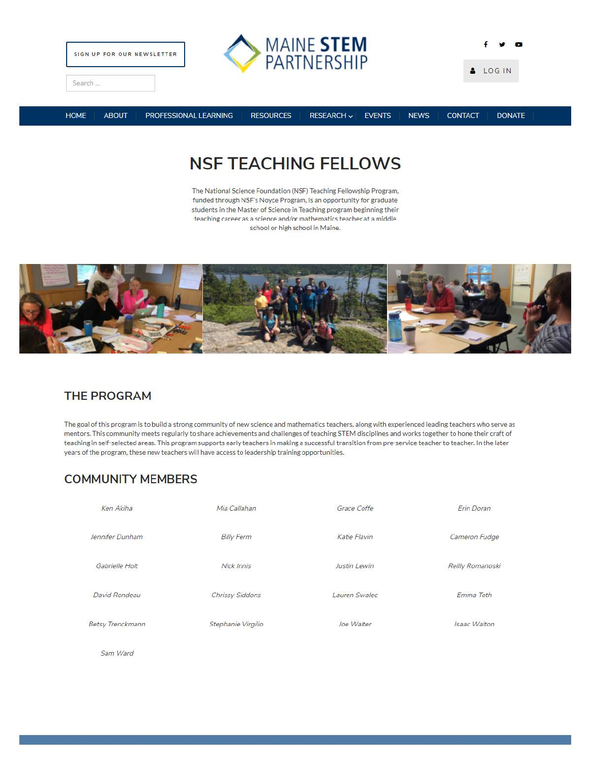



**f ., a**  & LOG IN

Search ...

HOME ABOUT PROFESSIONAL LEARNING RESOURCES RESEARCH v EVENTS NEWS CONTACT DONATE

# **NSF TEACHING FELLOWS**

The National Science Foundation (NSF) Teaching Fellowship Program, funded through NSF's Noyce Program, is an opportunity for graduate students in the Master of Science in Teaching program beginning their  $t$ eaching career as a science and/or mathematics teacher at a middle school or high school in Maine.



# **THE PROGRAM**

The goal of this program is to build a strong community of new science and mathematics teachers, along with experienced leading teachers who serve as mentors. This community meets regularly to share achievements and challenges of teaching STEM disciplines and works together to hone their craft of teaching in self-selected areas. This program supports early teachers in making a successful transition from pre-service teacher to teacher. In the later years of the program, these new teachers will have access to leadership training opportunities.

# **COMMUNITY MEMBERS**

| Ken Akiha        | Mia Callahan       | Grace Coffe   | Erin Doran       |
|------------------|--------------------|---------------|------------------|
| Jennifer Dunham  | <b>Billy Ferm</b>  | Katie Flavin  | Cameron Fudge    |
| Gabrielle Holt   | Nick Innis         | Justin Lewin  | Reilly Romanoski |
| David Rondeau    | Chrissy Siddons    | Lauren Swalec | Emma Toth        |
| Betsy Trenckmann | Stephanie Virgilio | Joe Walter    | Isaac Walton     |
|                  |                    |               |                  |

Sam Ward